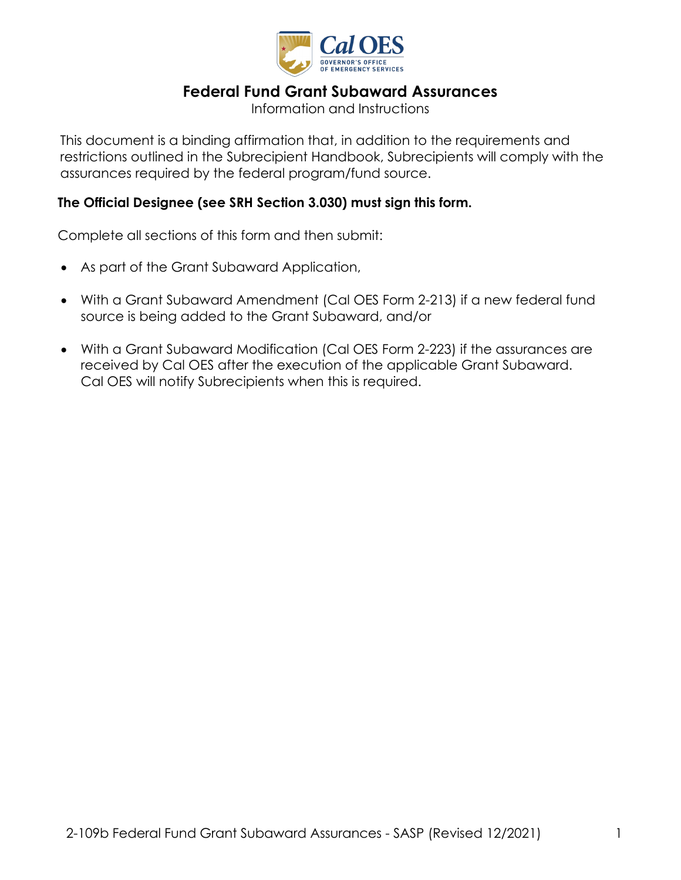

# **Federal Fund Grant Subaward Assurances**

Information and Instructions

 This document is a binding affirmation that, in addition to the requirements and restrictions outlined in the Subrecipient Handbook, Subrecipients will comply with the assurances required by the federal program/fund source.

#### **The Official Designee (see SRH Section 3.030) must sign this form.**

Complete all sections of this form and then submit:

- As part of the Grant Subaward Application,
- source is being added to the Grant Subaward, and/or • With a Grant Subaward Amendment (Cal OES Form 2-213) if a new federal fund
- With a Grant Subaward Modification (Cal OES Form 2-223) if the assurances are received by Cal OES after the execution of the applicable Grant Subaward. Cal OES will notify Subrecipients when this is required.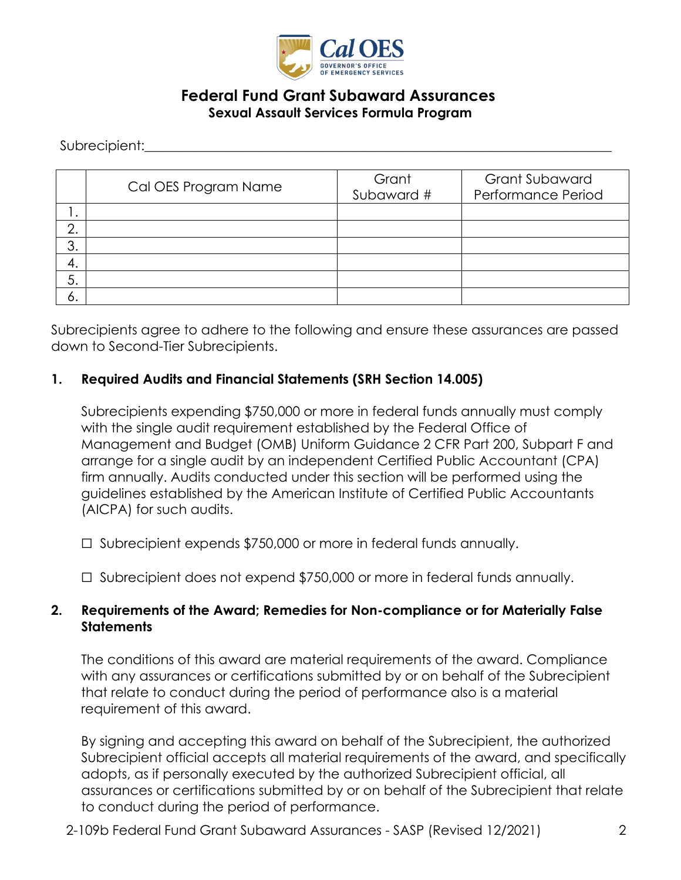

## **Federal Fund Grant Subaward Assurances Sexual Assault Services Formula Program**

Subrecipient:

|         | Cal OES Program Name | Grant<br>Subaward # | <b>Grant Subaward</b><br>Performance Period |
|---------|----------------------|---------------------|---------------------------------------------|
| . .     |                      |                     |                                             |
| ⌒<br>z. |                      |                     |                                             |
| 3.      |                      |                     |                                             |
| 4.      |                      |                     |                                             |
| 5.      |                      |                     |                                             |
| O.      |                      |                     |                                             |

Subrecipients agree to adhere to the following and ensure these assurances are passed down to Second-Tier Subrecipients.

#### **1. Required Audits and Financial Statements (SRH Section 14.005)**

 Subrecipients expending \$750,000 or more in federal funds annually must comply with the single audit requirement established by the Federal Office of Management and Budget (OMB) Uniform Guidance 2 CFR Part 200, Subpart F and arrange for a single audit by an independent Certified Public Accountant (CPA) firm annually. Audits conducted under this section will be performed using the guidelines established by the American Institute of Certified Public Accountants (AICPA) for such audits.

☐ Subrecipient expends \$750,000 or more in federal funds annually.

☐ Subrecipient does not expend \$750,000 or more in federal funds annually.

#### **2. Requirements of the Award; Remedies for Non-compliance or for Materially False Statements**

The conditions of this award are material requirements of the award. Compliance with any assurances or certifications submitted by or on behalf of the Subrecipient that relate to conduct during the period of performance also is a material requirement of this award.

By signing and accepting this award on behalf of the Subrecipient, the authorized Subrecipient official accepts all material requirements of the award, and specifically adopts, as if personally executed by the authorized Subrecipient official, all assurances or certifications submitted by or on behalf of the Subrecipient that relate to conduct during the period of performance.

2-109b Federal Fund Grant Subaward Assurances - SASP (Revised 12/2021) 2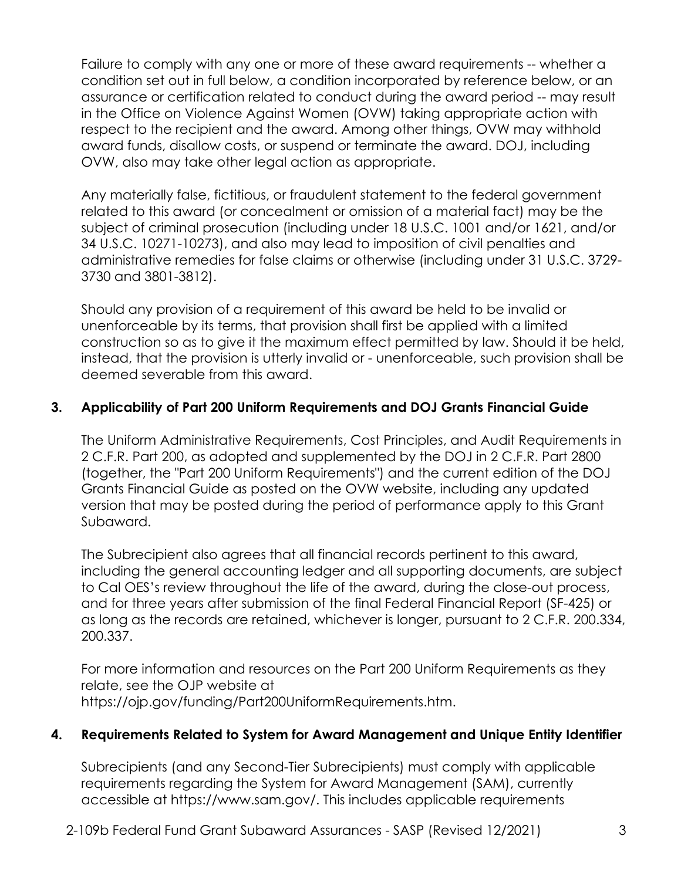Failure to comply with any one or more of these award requirements -- whether a condition set out in full below, a condition incorporated by reference below, or an assurance or certification related to conduct during the award period -- may result in the Office on Violence Against Women (OVW) taking appropriate action with respect to the recipient and the award. Among other things, OVW may withhold award funds, disallow costs, or suspend or terminate the award. DOJ, including OVW, also may take other legal action as appropriate.

Any materially false, fictitious, or fraudulent statement to the federal government related to this award (or concealment or omission of a material fact) may be the subject of criminal prosecution (including under 18 U.S.C. 1001 and/or 1621, and/or 34 U.S.C. 10271-10273), and also may lead to imposition of civil penalties and administrative remedies for false claims or otherwise (including under 31 U.S.C. 3729- 3730 and 3801-3812).

Should any provision of a requirement of this award be held to be invalid or unenforceable by its terms, that provision shall first be applied with a limited construction so as to give it the maximum effect permitted by law. Should it be held, instead, that the provision is utterly invalid or - unenforceable, such provision shall be deemed severable from this award.

### **3. Applicability of Part 200 Uniform Requirements and DOJ Grants Financial Guide**

The Uniform Administrative Requirements, Cost Principles, and Audit Requirements in 2 C.F.R. Part 200, as adopted and supplemented by the DOJ in 2 C.F.R. Part 2800 (together, the "Part 200 Uniform Requirements") and the current edition of the DOJ Grants Financial Guide as posted on the OVW website, including any updated version that may be posted during the period of performance apply to this Grant Subaward.

The Subrecipient also agrees that all financial records pertinent to this award, including the general accounting ledger and all supporting documents, are subject to Cal OES's review throughout the life of the award, during the close-out process, and for three years after submission of the final Federal Financial Report (SF-425) or as long as the records are retained, whichever is longer, pursuant to 2 C.F.R. 200.334, 200.337.

For more information and resources on the Part 200 Uniform Requirements as they relate, see the OJP website at [https://ojp.gov/funding/Part200UniformRequirements.htm.](https://ojp.gov/funding/Part200UniformRequirements.htm)

#### **4. Requirements Related to System for Award Management and Unique Entity Identifier**

Subrecipients (and any Second-Tier Subrecipients) must comply with applicable requirements regarding the System for Award Management (SAM), currently accessible at [https://www.sam.gov/](https://www.sam.gov). This includes applicable requirements

2-109b Federal Fund Grant Subaward Assurances - SASP (Revised 12/2021) 3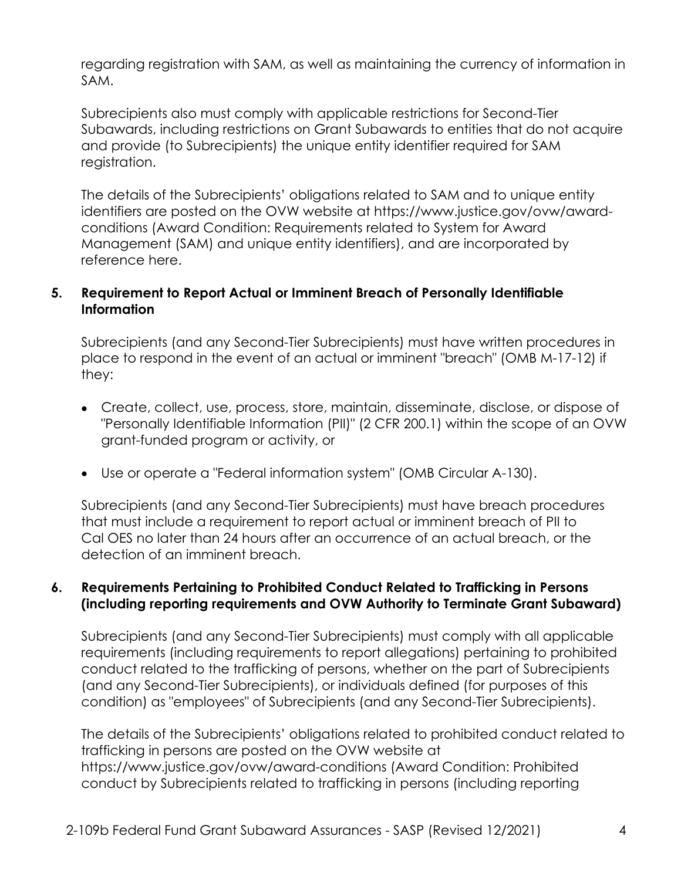regarding registration with SAM, as well as maintaining the currency of information in SAM.

 and provide (to Subrecipients) the unique entity identifier required for SAM Subrecipients also must comply with applicable restrictions for Second-Tier Subawards, including restrictions on Grant Subawards to entities that do not acquire registration.

The details of the Subrecipients' obligations related to SAM and to unique entity identifiers are posted on the OVW website at<https://www.justice.gov/ovw/award>conditions (Award Condition: Requirements related to System for Award Management (SAM) and unique entity identifiers), and are incorporated by reference here.

### **5. Requirement to Report Actual or Imminent Breach of Personally Identifiable Information**

Subrecipients (and any Second-Tier Subrecipients) must have written procedures in place to respond in the event of an actual or imminent "breach" (OMB M-17-12) if they:

- Create, collect, use, process, store, maintain, disseminate, disclose, or dispose of "Personally Identifiable Information (PII)" (2 CFR 200.1) within the scope of an OVW grant-funded program or activity, or
- Use or operate a "Federal information system" (OMB Circular A-130).

Subrecipients (and any Second-Tier Subrecipients) must have breach procedures that must include a requirement to report actual or imminent breach of PII to Cal OES no later than 24 hours after an occurrence of an actual breach, or the detection of an imminent breach.

### **6. Requirements Pertaining to Prohibited Conduct Related to Trafficking in Persons (including reporting requirements and OVW Authority to Terminate Grant Subaward)**

Subrecipients (and any Second-Tier Subrecipients) must comply with all applicable requirements (including requirements to report allegations) pertaining to prohibited conduct related to the trafficking of persons, whether on the part of Subrecipients (and any Second-Tier Subrecipients), or individuals defined (for purposes of this condition) as "employees" of Subrecipients (and any Second-Tier Subrecipients).

The details of the Subrecipients' obligations related to prohibited conduct related to trafficking in persons are posted on the OVW website at <https://www.justice.gov/ovw/award-conditions>(Award Condition: Prohibited conduct by Subrecipients related to trafficking in persons (including reporting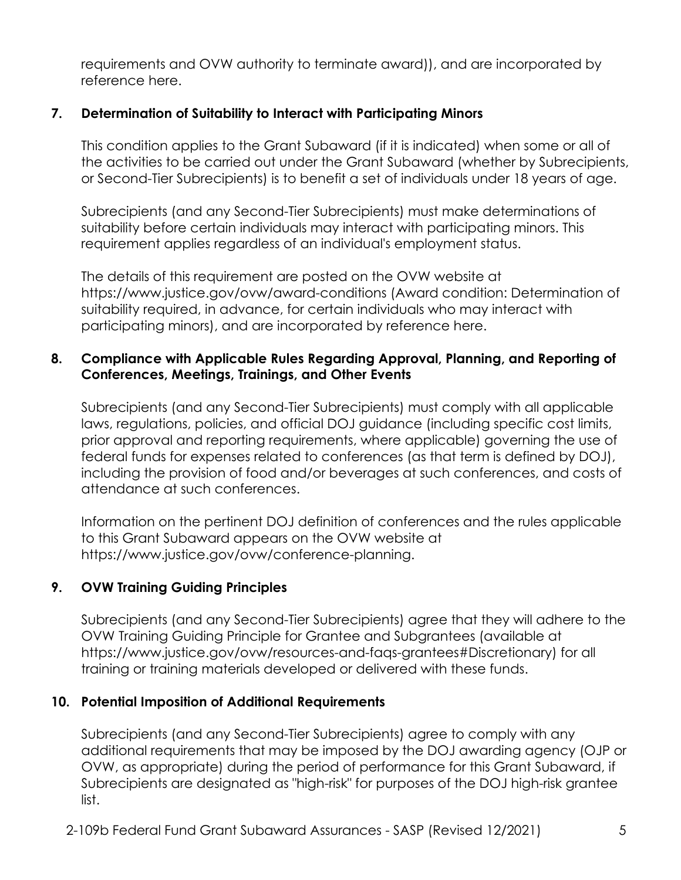requirements and OVW authority to terminate award)), and are incorporated by reference here.

### **7. Determination of Suitability to Interact with Participating Minors**

This condition applies to the Grant Subaward (if it is indicated) when some or all of the activities to be carried out under the Grant Subaward (whether by Subrecipients, or Second-Tier Subrecipients) is to benefit a set of individuals under 18 years of age.

 Subrecipients (and any Second-Tier Subrecipients) must make determinations of suitability before certain individuals may interact with participating minors. This requirement applies regardless of an individual's employment status.

The details of this requirement are posted on the OVW website at <https://www.justice.gov/ovw/award-conditions>(Award condition: Determination of suitability required, in advance, for certain individuals who may interact with participating minors), and are incorporated by reference here.

#### **8. Compliance with Applicable Rules Regarding Approval, Planning, and Reporting of Conferences, Meetings, Trainings, and Other Events**

 laws, regulations, policies, and official DOJ guidance (including specific cost limits, Subrecipients (and any Second-Tier Subrecipients) must comply with all applicable prior approval and reporting requirements, where applicable) governing the use of federal funds for expenses related to conferences (as that term is defined by DOJ), including the provision of food and/or beverages at such conferences, and costs of attendance at such conferences.

Information on the pertinent DOJ definition of conferences and the rules applicable to this Grant Subaward appears on the OVW website at [https://www.justice.gov/ovw/conference-planning.](https://www.justice.gov/ovw/conference-planning)

### **9. OVW Training Guiding Principles**

Subrecipients (and any Second-Tier Subrecipients) agree that they will adhere to the OVW Training Guiding Principle for Grantee and Subgrantees (available at [https://www.justice.gov/ovw/resources-and-faqs-grantees#Discretionary\)](https://www.justice.gov/ovw/resources-and-faqs-grantees#Discretionary) for all training or training materials developed or delivered with these funds.

#### **10. Potential Imposition of Additional Requirements**

 Subrecipients (and any Second-Tier Subrecipients) agree to comply with any additional requirements that may be imposed by the DOJ awarding agency (OJP or OVW, as appropriate) during the period of performance for this Grant Subaward, if Subrecipients are designated as "high-risk" for purposes of the DOJ high-risk grantee list.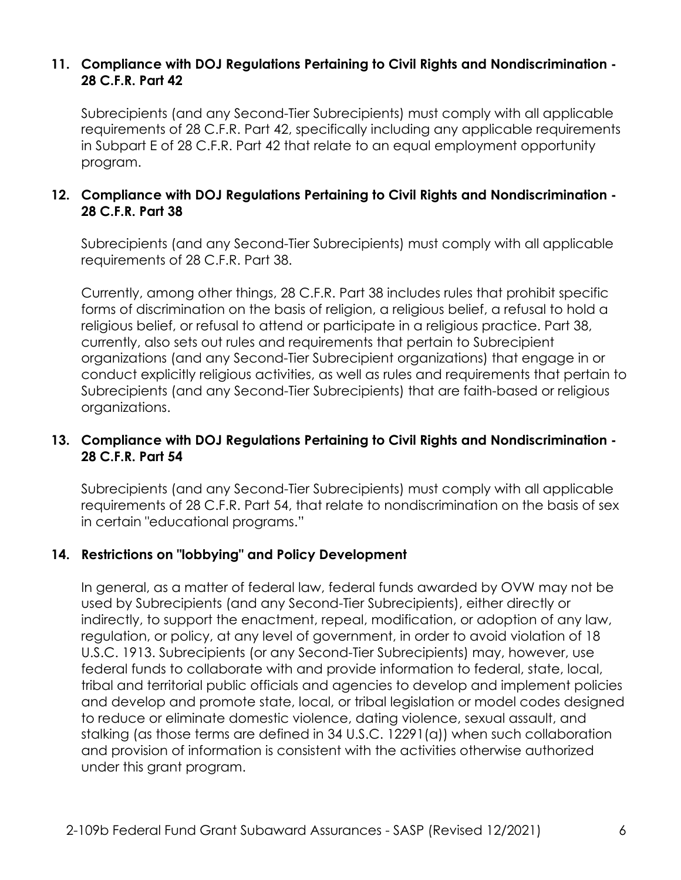#### **11. Compliance with DOJ Regulations Pertaining to Civil Rights and Nondiscrimination - 28 C.F.R. Part 42**

Subrecipients (and any Second-Tier Subrecipients) must comply with all applicable requirements of 28 C.F.R. Part 42, specifically including any applicable requirements in Subpart E of 28 C.F.R. Part 42 that relate to an equal employment opportunity program.

### **12. Compliance with DOJ Regulations Pertaining to Civil Rights and Nondiscrimination - 28 C.F.R. Part 38**

Subrecipients (and any Second-Tier Subrecipients) must comply with all applicable requirements of 28 C.F.R. Part 38.

Currently, among other things, 28 C.F.R. Part 38 includes rules that prohibit specific forms of discrimination on the basis of religion, a religious belief, a refusal to hold a religious belief, or refusal to attend or participate in a religious practice. Part 38, currently, also sets out rules and requirements that pertain to Subrecipient organizations (and any Second-Tier Subrecipient organizations) that engage in or conduct explicitly religious activities, as well as rules and requirements that pertain to Subrecipients (and any Second-Tier Subrecipients) that are faith-based or religious organizations.

### **13. Compliance with DOJ Regulations Pertaining to Civil Rights and Nondiscrimination - 28 C.F.R. Part 54**

Subrecipients (and any Second-Tier Subrecipients) must comply with all applicable requirements of 28 C.F.R. Part 54, that relate to nondiscrimination on the basis of sex in certain "educational programs."

#### **14. Restrictions on "lobbying" and Policy Development**

 and provision of information is consistent with the activities otherwise authorized In general, as a matter of federal law, federal funds awarded by OVW may not be used by Subrecipients (and any Second-Tier Subrecipients), either directly or indirectly, to support the enactment, repeal, modification, or adoption of any law, regulation, or policy, at any level of government, in order to avoid violation of 18 U.S.C. 1913. Subrecipients (or any Second-Tier Subrecipients) may, however, use federal funds to collaborate with and provide information to federal, state, local, tribal and territorial public officials and agencies to develop and implement policies and develop and promote state, local, or tribal legislation or model codes designed to reduce or eliminate domestic violence, dating violence, sexual assault, and stalking (as those terms are defined in 34 U.S.C. 12291(a)) when such collaboration under this grant program.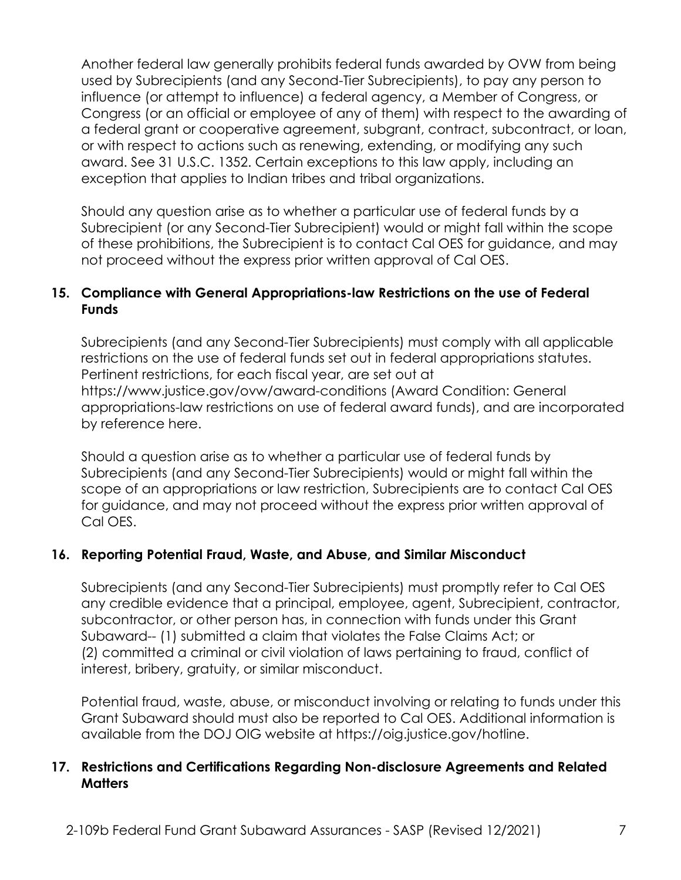Another federal law generally prohibits federal funds awarded by OVW from being used by Subrecipients (and any Second-Tier Subrecipients), to pay any person to influence (or attempt to influence) a federal agency, a Member of Congress, or Congress (or an official or employee of any of them) with respect to the awarding of a federal grant or cooperative agreement, subgrant, contract, subcontract, or loan, or with respect to actions such as renewing, extending, or modifying any such award. See 31 U.S.C. 1352. Certain exceptions to this law apply, including an exception that applies to Indian tribes and tribal organizations.

Should any question arise as to whether a particular use of federal funds by a Subrecipient (or any Second-Tier Subrecipient) would or might fall within the scope of these prohibitions, the Subrecipient is to contact Cal OES for guidance, and may not proceed without the express prior written approval of Cal OES.

### **15. Compliance with General Appropriations-law Restrictions on the use of Federal Funds**

Subrecipients (and any Second-Tier Subrecipients) must comply with all applicable restrictions on the use of federal funds set out in federal appropriations statutes. Pertinent restrictions, for each fiscal year, are set out at <https://www.justice.gov/ovw/award-conditions>(Award Condition: General appropriations-law restrictions on use of federal award funds), and are incorporated by reference here.

Should a question arise as to whether a particular use of federal funds by Subrecipients (and any Second-Tier Subrecipients) would or might fall within the scope of an appropriations or law restriction, Subrecipients are to contact Cal OES for guidance, and may not proceed without the express prior written approval of Cal OES.

### **16. Reporting Potential Fraud, Waste, and Abuse, and Similar Misconduct**

Subrecipients (and any Second-Tier Subrecipients) must promptly refer to Cal OES any credible evidence that a principal, employee, agent, Subrecipient, contractor, subcontractor, or other person has, in connection with funds under this Grant Subaward-- (1) submitted a claim that violates the False Claims Act; or (2) committed a criminal or civil violation of laws pertaining to fraud, conflict of interest, bribery, gratuity, or similar misconduct.

Potential fraud, waste, abuse, or misconduct involving or relating to funds under this Grant Subaward should must also be reported to Cal OES. Additional information is available from the DOJ OIG website at [https://oig.justice.gov/hotline.](https://oig.justice.gov/hotline)

#### **17. Restrictions and Certifications Regarding Non-disclosure Agreements and Related Matters**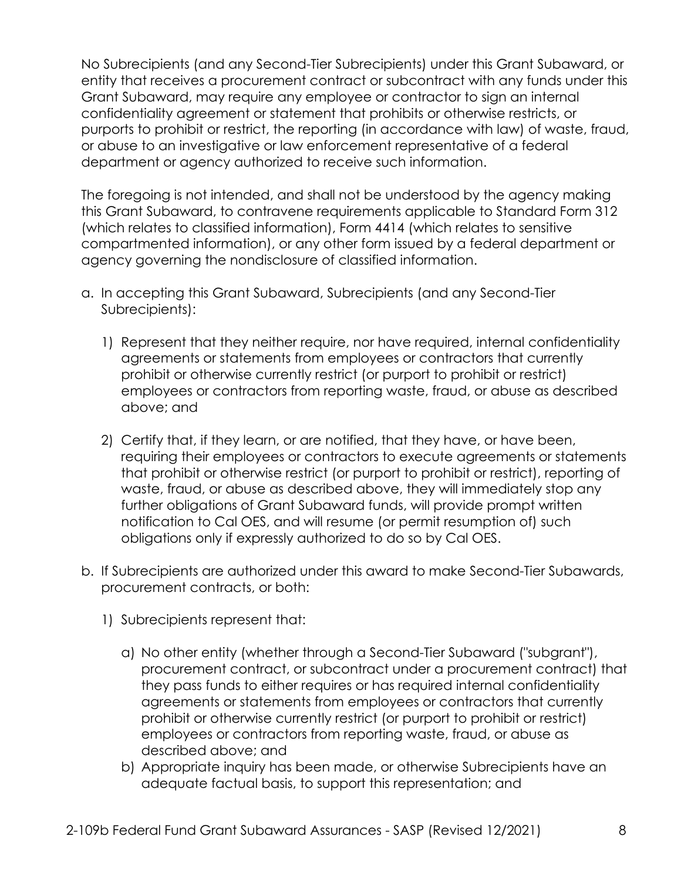purports to prohibit or restrict, the reporting (in accordance with law) of waste, fraud, No Subrecipients (and any Second-Tier Subrecipients) under this Grant Subaward, or entity that receives a procurement contract or subcontract with any funds under this Grant Subaward, may require any employee or contractor to sign an internal confidentiality agreement or statement that prohibits or otherwise restricts, or or abuse to an investigative or law enforcement representative of a federal department or agency authorized to receive such information.

The foregoing is not intended, and shall not be understood by the agency making this Grant Subaward, to contravene requirements applicable to Standard Form 312 (which relates to classified information), Form 4414 (which relates to sensitive compartmented information), or any other form issued by a federal department or agency governing the nondisclosure of classified information.

- a. In accepting this Grant Subaward, Subrecipients (and any Second-Tier Subrecipients):
	- 1) Represent that they neither require, nor have required, internal confidentiality agreements or statements from employees or contractors that currently prohibit or otherwise currently restrict (or purport to prohibit or restrict) employees or contractors from reporting waste, fraud, or abuse as described above; and
	- 2) Certify that, if they learn, or are notified, that they have, or have been, requiring their employees or contractors to execute agreements or statements that prohibit or otherwise restrict (or purport to prohibit or restrict), reporting of waste, fraud, or abuse as described above, they will immediately stop any further obligations of Grant Subaward funds, will provide prompt written notification to Cal OES, and will resume (or permit resumption of) such obligations only if expressly authorized to do so by Cal OES.
- b. If Subrecipients are authorized under this award to make Second-Tier Subawards, procurement contracts, or both:
	- 1) Subrecipients represent that:
		- a) No other entity (whether through a Second-Tier Subaward ("subgrant"), procurement contract, or subcontract under a procurement contract) that they pass funds to either requires or has required internal confidentiality agreements or statements from employees or contractors that currently prohibit or otherwise currently restrict (or purport to prohibit or restrict) employees or contractors from reporting waste, fraud, or abuse as described above; and
		- b) Appropriate inquiry has been made, or otherwise Subrecipients have an adequate factual basis, to support this representation; and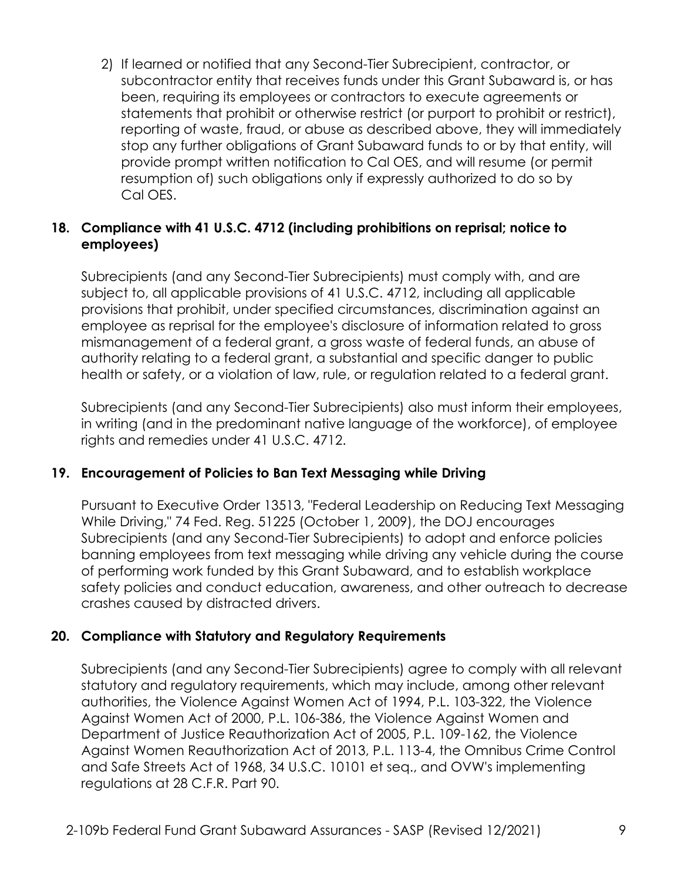2) If learned or notified that any Second-Tier Subrecipient, contractor, or subcontractor entity that receives funds under this Grant Subaward is, or has been, requiring its employees or contractors to execute agreements or statements that prohibit or otherwise restrict (or purport to prohibit or restrict), reporting of waste, fraud, or abuse as described above, they will immediately stop any further obligations of Grant Subaward funds to or by that entity, will provide prompt written notification to Cal OES, and will resume (or permit resumption of) such obligations only if expressly authorized to do so by Cal OES.

### **18. Compliance with 41 U.S.C. 4712 (including prohibitions on reprisal; notice to employees)**

Subrecipients (and any Second-Tier Subrecipients) must comply with, and are subject to, all applicable provisions of 41 U.S.C. 4712, including all applicable provisions that prohibit, under specified circumstances, discrimination against an employee as reprisal for the employee's disclosure of information related to gross mismanagement of a federal grant, a gross waste of federal funds, an abuse of authority relating to a federal grant, a substantial and specific danger to public health or safety, or a violation of law, rule, or regulation related to a federal grant.

Subrecipients (and any Second-Tier Subrecipients) also must inform their employees, in writing (and in the predominant native language of the workforce), of employee rights and remedies under 41 U.S.C. 4712.

### **19. Encouragement of Policies to Ban Text Messaging while Driving**

 of performing work funded by this Grant Subaward, and to establish workplace Pursuant to Executive Order 13513, "Federal Leadership on Reducing Text Messaging While Driving," 74 Fed. Reg. 51225 (October 1, 2009), the DOJ encourages Subrecipients (and any Second-Tier Subrecipients) to adopt and enforce policies banning employees from text messaging while driving any vehicle during the course safety policies and conduct education, awareness, and other outreach to decrease crashes caused by distracted drivers.

### **20. Compliance with Statutory and Regulatory Requirements**

Subrecipients (and any Second-Tier Subrecipients) agree to comply with all relevant statutory and regulatory requirements, which may include, among other relevant authorities, the Violence Against Women Act of 1994, P.L. 103-322, the Violence Against Women Act of 2000, P.L. 106-386, the Violence Against Women and Department of Justice Reauthorization Act of 2005, P.L. 109-162, the Violence Against Women Reauthorization Act of 2013, P.L. 113-4, the Omnibus Crime Control and Safe Streets Act of 1968, 34 U.S.C. 10101 et seq., and OVW's implementing regulations at 28 C.F.R. Part 90.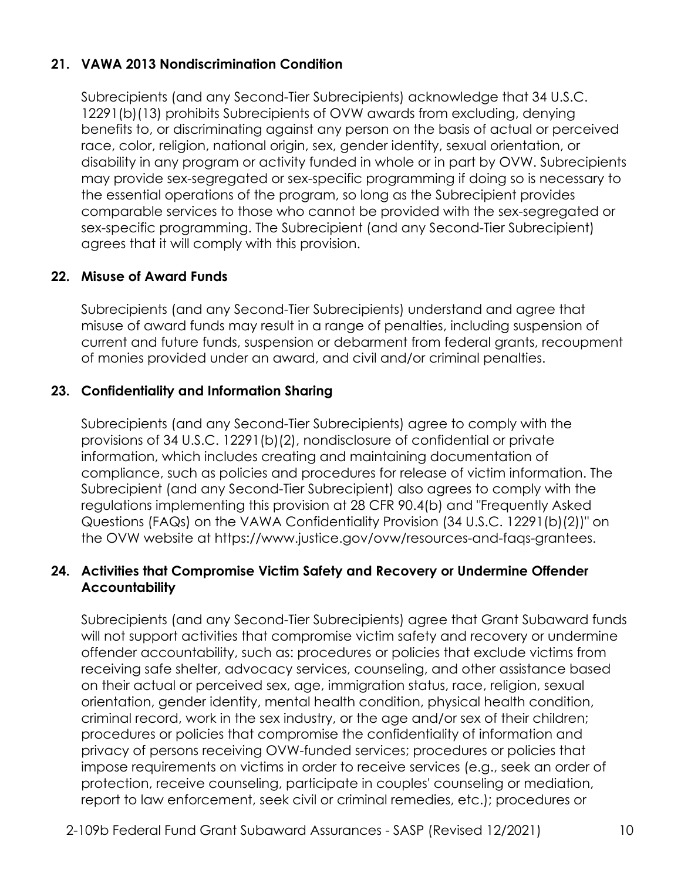## **21. VAWA 2013 Nondiscrimination Condition**

Subrecipients (and any Second-Tier Subrecipients) acknowledge that 34 U.S.C. 12291(b)(13) prohibits Subrecipients of OVW awards from excluding, denying benefits to, or discriminating against any person on the basis of actual or perceived race, color, religion, national origin, sex, gender identity, sexual orientation, or disability in any program or activity funded in whole or in part by OVW. Subrecipients may provide sex-segregated or sex-specific programming if doing so is necessary to the essential operations of the program, so long as the Subrecipient provides comparable services to those who cannot be provided with the sex-segregated or sex-specific programming. The Subrecipient (and any Second-Tier Subrecipient) agrees that it will comply with this provision.

### **22. Misuse of Award Funds**

Subrecipients (and any Second-Tier Subrecipients) understand and agree that misuse of award funds may result in a range of penalties, including suspension of current and future funds, suspension or debarment from federal grants, recoupment of monies provided under an award, and civil and/or criminal penalties.

### **23. Confidentiality and Information Sharing**

 the OVW website at [https://www.justice.gov/ovw/resources-and-faqs-grantees.](https://www.justice.gov/ovw/resources-and-faqs-grantees) Subrecipients (and any Second-Tier Subrecipients) agree to comply with the provisions of 34 U.S.C. 12291(b)(2), nondisclosure of confidential or private information, which includes creating and maintaining documentation of compliance, such as policies and procedures for release of victim information. The Subrecipient (and any Second-Tier Subrecipient) also agrees to comply with the regulations implementing this provision at 28 CFR 90.4(b) and "Frequently Asked Questions (FAQs) on the VAWA Confidentiality Provision (34 U.S.C. 12291(b)(2))" on

#### **24. Activities that Compromise Victim Safety and Recovery or Undermine Offender Accountability**

Subrecipients (and any Second-Tier Subrecipients) agree that Grant Subaward funds will not support activities that compromise victim safety and recovery or undermine offender accountability, such as: procedures or policies that exclude victims from receiving safe shelter, advocacy services, counseling, and other assistance based on their actual or perceived sex, age, immigration status, race, religion, sexual orientation, gender identity, mental health condition, physical health condition, criminal record, work in the sex industry, or the age and/or sex of their children; procedures or policies that compromise the confidentiality of information and privacy of persons receiving OVW-funded services; procedures or policies that impose requirements on victims in order to receive services (e.g., seek an order of protection, receive counseling, participate in couples' counseling or mediation, report to law enforcement, seek civil or criminal remedies, etc.); procedures or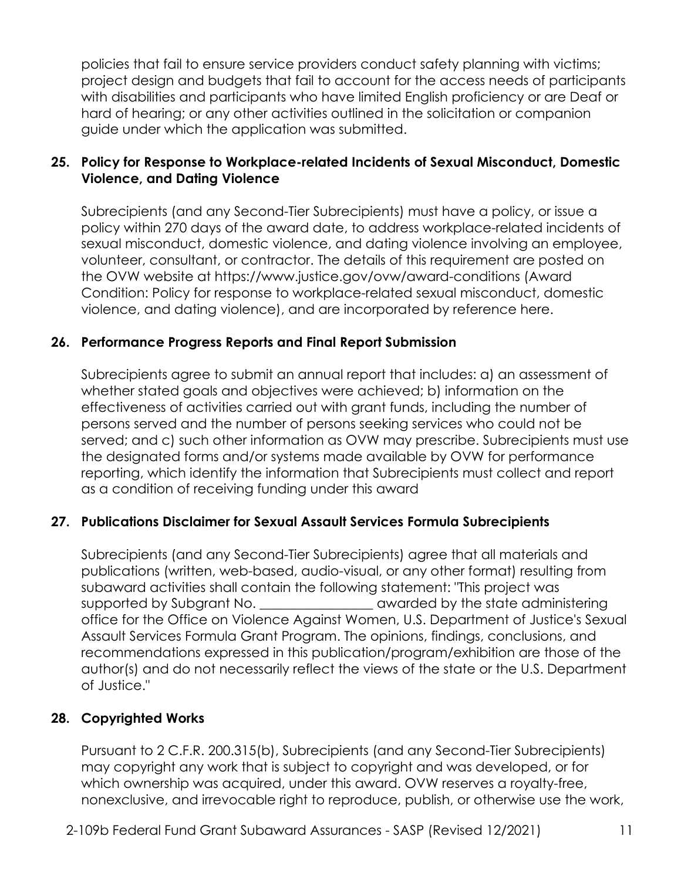policies that fail to ensure service providers conduct safety planning with victims; project design and budgets that fail to account for the access needs of participants with disabilities and participants who have limited English proficiency or are Deaf or hard of hearing; or any other activities outlined in the solicitation or companion guide under which the application was submitted.

### **25. Policy for Response to Workplace-related Incidents of Sexual Misconduct, Domestic Violence, and Dating Violence**

Subrecipients (and any Second-Tier Subrecipients) must have a policy, or issue a policy within 270 days of the award date, to address workplace-related incidents of sexual misconduct, domestic violence, and dating violence involving an employee, volunteer, consultant, or contractor. The details of this requirement are posted on the OVW website at<https://www.justice.gov/ovw/award-conditions>(Award Condition: Policy for response to workplace-related sexual misconduct, domestic violence, and dating violence), and are incorporated by reference here.

### **26. Performance Progress Reports and Final Report Submission**

Subrecipients agree to submit an annual report that includes: a) an assessment of whether stated goals and objectives were achieved; b) information on the effectiveness of activities carried out with grant funds, including the number of persons served and the number of persons seeking services who could not be served; and c) such other information as OVW may prescribe. Subrecipients must use the designated forms and/or systems made available by OVW for performance reporting, which identify the information that Subrecipients must collect and report as a condition of receiving funding under this award

#### **27. Publications Disclaimer for Sexual Assault Services Formula Subrecipients**

Subrecipients (and any Second-Tier Subrecipients) agree that all materials and publications (written, web-based, audio-visual, or any other format) resulting from subaward activities shall contain the following statement: "This project was supported by Subgrant No. \_\_\_\_\_\_\_\_\_\_\_\_\_\_\_\_\_\_\_\_ awarded by the state administering office for the Office on Violence Against Women, U.S. Department of Justice's Sexual Assault Services Formula Grant Program. The opinions, findings, conclusions, and recommendations expressed in this publication/program/exhibition are those of the author(s) and do not necessarily reflect the views of the state or the U.S. Department of Justice."

#### **28. Copyrighted Works**

Pursuant to 2 C.F.R. 200.315(b), Subrecipients (and any Second-Tier Subrecipients) may copyright any work that is subject to copyright and was developed, or for which ownership was acquired, under this award. OVW reserves a royalty-free, nonexclusive, and irrevocable right to reproduce, publish, or otherwise use the work,